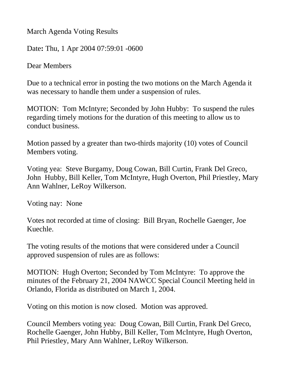March Agenda Voting Results

Date**:** Thu, 1 Apr 2004 07:59:01 -0600

Dear Members

Due to a technical error in posting the two motions on the March Agenda it was necessary to handle them under a suspension of rules.

MOTION: Tom McIntyre; Seconded by John Hubby: To suspend the rules regarding timely motions for the duration of this meeting to allow us to conduct business.

Motion passed by a greater than two-thirds majority (10) votes of Council Members voting.

Voting yea: Steve Burgamy, Doug Cowan, Bill Curtin, Frank Del Greco, John Hubby, Bill Keller, Tom McIntyre, Hugh Overton, Phil Priestley, Mary Ann Wahlner, LeRoy Wilkerson.

Voting nay: None

Votes not recorded at time of closing: Bill Bryan, Rochelle Gaenger, Joe Kuechle.

The voting results of the motions that were considered under a Council approved suspension of rules are as follows:

MOTION: Hugh Overton; Seconded by Tom McIntyre: To approve the minutes of the February 21, 2004 NAWCC Special Council Meeting held in Orlando, Florida as distributed on March 1, 2004.

Voting on this motion is now closed. Motion was approved.

Council Members voting yea: Doug Cowan, Bill Curtin, Frank Del Greco, Rochelle Gaenger, John Hubby, Bill Keller, Tom McIntyre, Hugh Overton, Phil Priestley, Mary Ann Wahlner, LeRoy Wilkerson.